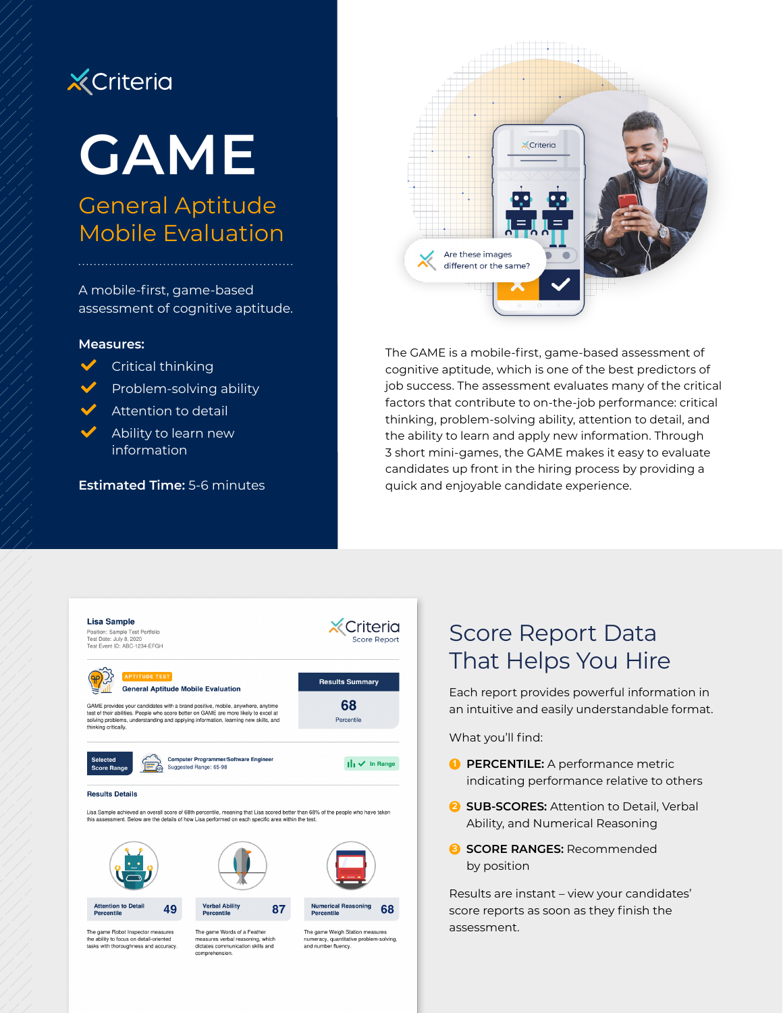## **X** Criteria

# **GAME**

## General Aptitude Mobile Evaluation

A mobile-first, game-based assessment of cognitive aptitude.

Problem-solving ability

Attention to detail Ability to learn new

**Estimated Time:** 5-6 minutes

#### **Measures:**

 $\sqrt{\phantom{a}}$  Critical thinking

information



The GAME is a mobile-first, game-based assessment of cognitive aptitude, which is one of the best predictors of job success. The assessment evaluates many of the critical factors that contribute to on-the-job performance: critical thinking, problem-solving ability, attention to detail, and the ability to learn and apply new information. Through 3 short mini-games, the GAME makes it easy to evaluate candidates up front in the hiring process by providing a quick and enjoyable candidate experience.



## Score Report Data That Helps You Hire

Each report provides powerful information in an intuitive and easily understandable format.

What you'll find:

- **1 PERCENTILE:** A performance metric indicating performance relative to others
- **2 SUB-SCORES:** Attention to Detail, Verbal Ability, and Numerical Reasoning
- **3 SCORE RANGES:** Recommended by position

Results are instant – view your candidates' score reports as soon as they finish the assessment.